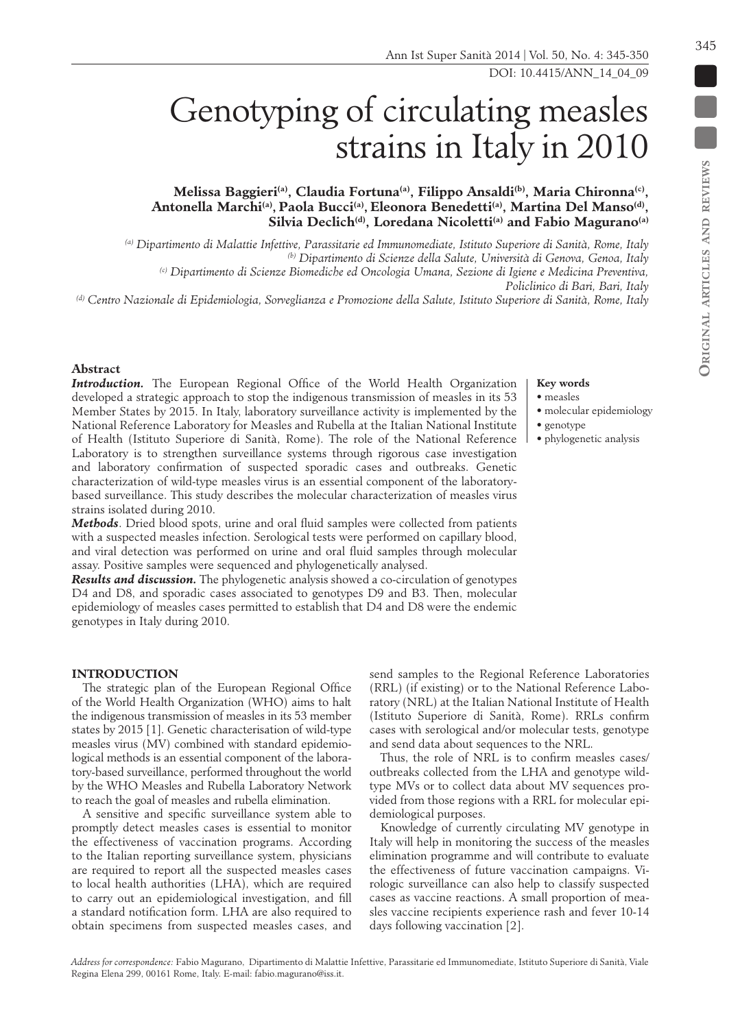DOI: 10.4415/ANN\_14\_04\_09

# Genotyping of circulating measles strains in Italy in 2010

**Melissa Baggieri(a), Claudia Fortuna(a), Filippo Ansaldi(b), Maria Chironna(c),**  Antonella Marchi<sup>(a)</sup>, Paola Bucci<sup>(a)</sup>, Eleonora Benedetti<sup>(a)</sup>, Martina Del Manso<sup>(d)</sup>, **Silvia Declich(d), Loredana Nicoletti(a) and Fabio Magurano(a)**

*(a) Dipartimento di Malattie Infettive, Parassitarie ed Immunomediate, Istituto Superiore di Sanità, Rome, Italy (b) Dipartimento di Scienze della Salute, Università di Genova, Genoa, Italy (c) Dipartimento di Scienze Biomediche ed Oncologia Umana, Sezione di Igiene e Medicina Preventiva, Policlinico di Bari, Bari, Italy*

*(d) Centro Nazionale di Epidemiologia, Sorveglianza e Promozione della Salute, Istituto Superiore di Sanità, Rome, Italy*

# **Abstract**

*Introduction.* The European Regional Office of the World Health Organization developed a strategic approach to stop the indigenous transmission of measles in its 53 Member States by 2015. In Italy, laboratory surveillance activity is implemented by the National Reference Laboratory for Measles and Rubella at the Italian National Institute of Health (Istituto Superiore di Sanità, Rome). The role of the National Reference Laboratory is to strengthen surveillance systems through rigorous case investigation and laboratory confirmation of suspected sporadic cases and outbreaks. Genetic characterization of wild-type measles virus is an essential component of the laboratorybased surveillance. This study describes the molecular characterization of measles virus strains isolated during 2010.

*Methods*. Dried blood spots, urine and oral fluid samples were collected from patients with a suspected measles infection. Serological tests were performed on capillary blood, and viral detection was performed on urine and oral fluid samples through molecular assay. Positive samples were sequenced and phylogenetically analysed.

*Results and discussion.* The phylogenetic analysis showed a co-circulation of genotypes D4 and D8, and sporadic cases associated to genotypes D9 and B3. Then, molecular epidemiology of measles cases permitted to establish that D4 and D8 were the endemic genotypes in Italy during 2010.

# **INTRODUCTION**

The strategic plan of the European Regional Office of the World Health Organization (WHO) aims to halt the indigenous transmission of measles in its 53 member states by 2015 [1]. Genetic characterisation of wild-type measles virus (MV) combined with standard epidemiological methods is an essential component of the laboratory-based surveillance, performed throughout the world by the WHO Measles and Rubella Laboratory Network to reach the goal of measles and rubella elimination.

A sensitive and specific surveillance system able to promptly detect measles cases is essential to monitor the effectiveness of vaccination programs. According to the Italian reporting surveillance system, physicians are required to report all the suspected measles cases to local health authorities (LHA), which are required to carry out an epidemiological investigation, and fill a standard notification form. LHA are also required to send samples to the Regional Reference Laboratories (RRL) (if existing) or to the National Reference Laboratory (NRL) at the Italian National Institute of Health (Istituto Superiore di Sanità, Rome). RRLs confirm cases with serological and/or molecular tests, genotype and send data about sequences to the NRL.

Thus, the role of NRL is to confirm measles cases/ outbreaks collected from the LHA and genotype wildtype MVs or to collect data about MV sequences provided from those regions with a RRL for molecular epidemiological purposes.

Knowledge of currently circulating MV genotype in Italy will help in monitoring the success of the measles elimination programme and will contribute to evaluate the effectiveness of future vaccination campaigns. Virologic surveillance can also help to classify suspected cases as vaccine reactions. A small proportion of measles vaccine recipients experience rash and fever 10-14

## **Key words**

- measles
- molecular epidemiology
- genotype
- phylogenetic analysis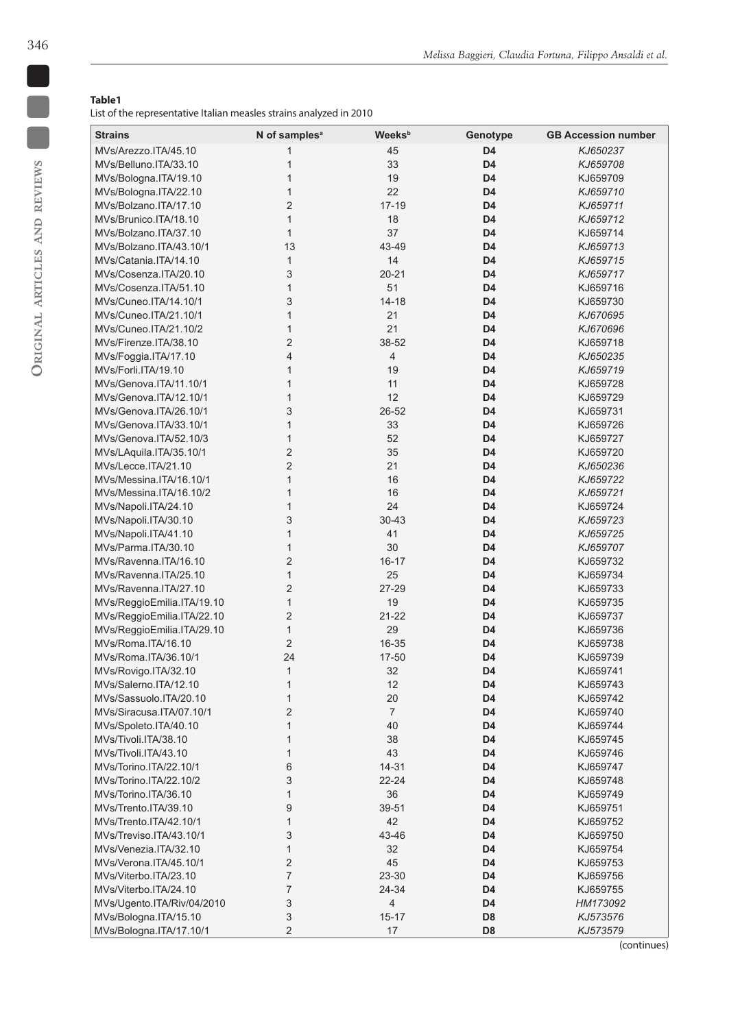**Original articles and reviews**

ORIGINAL ARTICLES AND REVIEWS

# **Table1**

List of the representative Italian measles strains analyzed in 2010

| <b>Strains</b>                                   | N of samples <sup>a</sup> | <b>Weeks</b> <sup>b</sup> | Genotype                         | <b>GB Accession number</b> |
|--------------------------------------------------|---------------------------|---------------------------|----------------------------------|----------------------------|
| MVs/Arezzo.ITA/45.10                             | 1                         | 45                        | D <sub>4</sub>                   | KJ650237                   |
| MVs/Belluno.ITA/33.10                            | 1                         | 33                        | D <sub>4</sub>                   | KJ659708                   |
| MVs/Bologna.ITA/19.10                            | 1                         | 19                        | D4                               | KJ659709                   |
| MVs/Bologna.ITA/22.10                            | 1                         | 22                        | D4                               | KJ659710                   |
| MVs/Bolzano.ITA/17.10                            | $\overline{2}$            | $17-19$                   | D <sub>4</sub>                   | KJ659711                   |
| MVs/Brunico.ITA/18.10                            | $\mathbf{1}$              | 18                        | D4                               | KJ659712                   |
| MVs/Bolzano.ITA/37.10                            | $\mathbf{1}$              | 37                        | D <sub>4</sub>                   | KJ659714                   |
| MVs/Bolzano.ITA/43.10/1                          | 13                        | 43-49                     | D <sub>4</sub>                   | KJ659713                   |
| MVs/Catania.ITA/14.10                            | $\mathbf{1}$              | 14                        | D <sub>4</sub>                   | KJ659715                   |
| MVs/Cosenza.ITA/20.10                            | 3                         | $20 - 21$                 | D <sub>4</sub>                   | KJ659717                   |
| MVs/Cosenza.ITA/51.10                            | 1                         | 51                        | D4                               | KJ659716                   |
| MVs/Cuneo.ITA/14.10/1                            | 3                         | $14 - 18$                 | D <sub>4</sub>                   | KJ659730                   |
| MVs/Cuneo.ITA/21.10/1                            | 1                         | 21                        | D4                               | KJ670695                   |
| MVs/Cuneo.ITA/21.10/2                            | 1                         | 21                        | D4                               | KJ670696                   |
| MVs/Firenze.ITA/38.10                            | 2                         | 38-52                     | D4                               | KJ659718                   |
| MVs/Foggia.ITA/17.10                             | 4                         | 4                         | D <sub>4</sub>                   | KJ650235                   |
| MVs/Forli ITA/19.10                              | 1                         | 19                        | D <sub>4</sub>                   | KJ659719                   |
| MVs/Genova.ITA/11.10/1                           | 1                         | 11                        | D <sub>4</sub>                   | KJ659728                   |
| MVs/Genova.ITA/12.10/1                           | 1                         | 12                        | D <sub>4</sub>                   | KJ659729                   |
| MVs/Genova.ITA/26.10/1                           | 3                         | 26-52                     | D <sub>4</sub>                   | KJ659731                   |
| MVs/Genova.ITA/33.10/1                           | $\mathbf{1}$              | 33                        | D <sub>4</sub>                   | KJ659726                   |
| MVs/Genova.ITA/52.10/3                           | 1                         | 52                        | D4                               | KJ659727                   |
| MVs/LAquila.ITA/35.10/1                          | $\overline{2}$            | 35                        | D <sub>4</sub>                   | KJ659720                   |
| MVs/Lecce.ITA/21.10                              | $\overline{2}$            | 21                        | D <sub>4</sub>                   | KJ650236                   |
| MVs/Messina.ITA/16.10/1                          | $\mathbf{1}$              | 16                        | D <sub>4</sub>                   | KJ659722                   |
| MVs/Messina.ITA/16.10/2                          | $\mathbf{1}$              | 16                        | D <sub>4</sub>                   | KJ659721                   |
| MVs/Napoli.ITA/24.10                             | $\mathbf{1}$              | 24                        | D4                               | KJ659724                   |
| MVs/Napoli.ITA/30.10                             | 3                         | $30 - 43$                 | D <sub>4</sub>                   | KJ659723                   |
| MVs/Napoli.ITA/41.10                             | 1                         | 41                        | D <sub>4</sub>                   | KJ659725                   |
| MVs/Parma.ITA/30.10                              | $\mathbf{1}$              | 30                        | D <sub>4</sub>                   | KJ659707                   |
| MVs/Ravenna.ITA/16.10                            | $\overline{2}$            | $16 - 17$                 | D4                               | KJ659732                   |
| MVs/Ravenna.ITA/25.10                            | $\mathbf{1}$              | 25                        | D4                               | KJ659734                   |
| MVs/Ravenna.ITA/27.10                            | $\overline{2}$            | 27-29                     | D <sub>4</sub>                   | KJ659733                   |
| MVs/ReggioEmilia.ITA/19.10                       | 1                         | 19                        | D <sub>4</sub>                   | KJ659735                   |
| MVs/ReggioEmilia.ITA/22.10                       | $\overline{2}$            | 21-22                     | D4                               | KJ659737                   |
| MVs/ReggioEmilia.ITA/29.10                       | 1                         | 29                        | D4                               | KJ659736                   |
| MVs/Roma.ITA/16.10                               | $\overline{2}$            | 16-35                     | D4                               | KJ659738                   |
| MVs/Roma.ITA/36.10/1                             | 24                        | 17-50                     | D4                               | KJ659739                   |
| MVs/Rovigo.ITA/32.10                             | 1                         | 32                        | D <sub>4</sub>                   | KJ659741                   |
| MVs/Salerno.ITA/12.10                            | $\mathbf{1}$              | 12                        | D <sub>4</sub>                   | KJ659743                   |
| MVs/Sassuolo.ITA/20.10                           | 1                         | 20                        | D4                               | KJ659742                   |
| MVs/Siracusa.ITA/07.10/1                         | $\overline{\mathbf{c}}$   | $\boldsymbol{7}$          | D4                               | KJ659740                   |
| MVs/Spoleto.ITA/40.10                            | 1                         | 40                        | D <sub>4</sub>                   | KJ659744                   |
| MVs/Tivoli.ITA/38.10                             | 1                         | 38                        | D4                               | KJ659745                   |
| MVs/Tivoli.ITA/43.10                             | 1                         | 43                        | D4                               | KJ659746                   |
| MVs/Torino.ITA/22.10/1                           | 6                         | 14-31                     | D4                               | KJ659747                   |
| MVs/Torino.ITA/22.10/2                           | 3                         | 22-24                     | D <sub>4</sub>                   | KJ659748                   |
| MVs/Torino.ITA/36.10                             | 1                         | 36                        | D <sub>4</sub>                   | KJ659749                   |
| MVs/Trento.ITA/39.10                             | 9                         | 39-51                     | D <sub>4</sub>                   | KJ659751                   |
| MVs/Trento.ITA/42.10/1                           | $\mathbf{1}$              | 42                        | D <sub>4</sub>                   | KJ659752                   |
| MVs/Treviso.ITA/43.10/1<br>MVs/Venezia.ITA/32.10 | 3<br>$\mathbf{1}$         | 43-46<br>32               | D <sub>4</sub><br>D <sub>4</sub> | KJ659750                   |
| MVs/Verona.ITA/45.10/1                           | $\overline{2}$            | 45                        | D <sub>4</sub>                   | KJ659754<br>KJ659753       |
| MVs/Viterbo.ITA/23.10                            | 7                         | 23-30                     | D <sub>4</sub>                   | KJ659756                   |
| MVs/Viterbo.ITA/24.10                            | $\overline{7}$            | 24-34                     | D <sub>4</sub>                   | KJ659755                   |
| MVs/Ugento.ITA/Riv/04/2010                       | 3                         | $\overline{4}$            | D4                               | HM173092                   |
| MVs/Bologna.ITA/15.10                            | 3                         | $15 - 17$                 | D <sub>8</sub>                   | KJ573576                   |
| MVs/Bologna.ITA/17.10/1                          | 2                         | 17                        | D <sub>8</sub>                   | KJ573579                   |

(continues)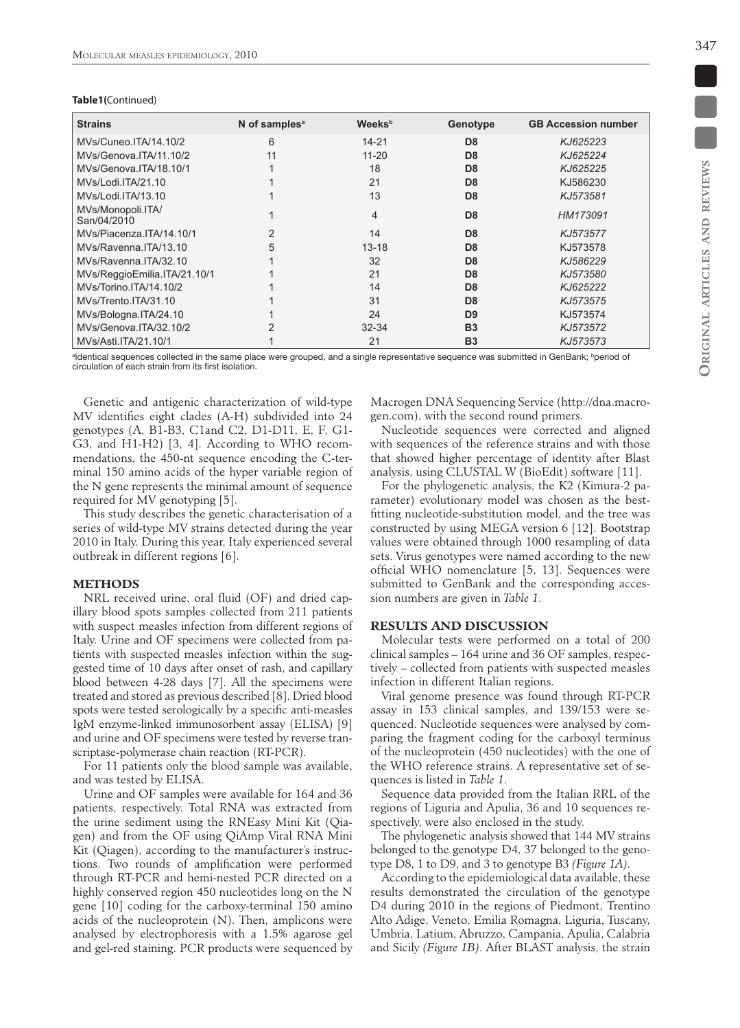|  |  | Table1(Continued) |  |
|--|--|-------------------|--|
|--|--|-------------------|--|

| <b>Strains</b>                   | N of samples <sup>a</sup> | <b>Weeks</b> <sup>b</sup> | Genotype       | <b>GB Accession number</b> |
|----------------------------------|---------------------------|---------------------------|----------------|----------------------------|
| MVs/Cuneo.ITA/14.10/2            | 6                         | $14 - 21$                 | D <sub>8</sub> | KJ625223                   |
| MVs/Genova ITA/11.10/2           | 11                        | $11 - 20$                 | D <sub>8</sub> | KJ625224                   |
| MVs/Genova.ITA/18.10/1           |                           | 18                        | D <sub>8</sub> | KJ625225                   |
| MVs/Lodi.ITA/21.10               |                           | 21                        | D <sub>8</sub> | KJ586230                   |
| MVs/Lodi.ITA/13.10               |                           | 13                        | D <sub>8</sub> | KJ573581                   |
| MVs/Monopoli.ITA/<br>San/04/2010 |                           | 4                         | D <sub>8</sub> | HM173091                   |
| MVs/Piacenza.ITA/14.10/1         | 2                         | 14                        | D <sub>8</sub> | KJ573577                   |
| MVs/Ravenna.ITA/13.10            | 5                         | $13 - 18$                 | D8             | KJ573578                   |
| MVs/Ravenna ITA/32.10            |                           | 32                        | D <sub>8</sub> | KJ586229                   |
| MVs/ReggioEmilia.ITA/21.10/1     |                           | 21                        | D <sub>8</sub> | KJ573580                   |
| MVs/Torino.ITA/14.10/2           |                           | 14                        | D <sub>8</sub> | KJ625222                   |
| MVs/Trento.ITA/31.10             |                           | 31                        | D <sub>8</sub> | KJ573575                   |
| MVs/Bologna.ITA/24.10            |                           | 24                        | D <sub>9</sub> | KJ573574                   |
| MVs/Genova.ITA/32.10/2           |                           | $32 - 34$                 | <b>B3</b>      | KJ573572                   |
| MVs/Asti.ITA/21.10/1             |                           | 21                        | <b>B3</b>      | KJ573573                   |

<sup>a</sup>ldentical sequences collected in the same place were grouped, and a single representative sequence was submitted in GenBank; <sup>b</sup>period of circulation of each strain from its first isolation.

Genetic and antigenic characterization of wild-type MV identifies eight clades (A-H) subdivided into 24 genotypes (A, B1-B3, C1and C2, D1-D11, E, F, G1- G3, and H1-H2) [3, 4]. According to WHO recommendations, the 450-nt sequence encoding the C-terminal 150 amino acids of the hyper variable region of the N gene represents the minimal amount of sequence required for MV genotyping [5].

This study describes the genetic characterisation of a series of wild-type MV strains detected during the year 2010 in Italy. During this year, Italy experienced several outbreak in different regions [6].

#### **METHODS**

NRL received urine, oral fluid (OF) and dried capillary blood spots samples collected from 211 patients with suspect measles infection from different regions of Italy. Urine and OF specimens were collected from patients with suspected measles infection within the suggested time of 10 days after onset of rash, and capillary blood between 4-28 days [7]. All the specimens were treated and stored as previous described [8]. Dried blood spots were tested serologically by a specific anti-measles IgM enzyme-linked immunosorbent assay (ELISA) [9] and urine and OF specimens were tested by reverse transcriptase-polymerase chain reaction (RT-PCR).

For 11 patients only the blood sample was available, and was tested by ELISA.

Urine and OF samples were available for 164 and 36 patients, respectively. Total RNA was extracted from the urine sediment using the RNEasy Mini Kit (Qiagen) and from the OF using QiAmp Viral RNA Mini Kit (Qiagen), according to the manufacturer's instructions. Two rounds of amplification were performed through RT-PCR and hemi-nested PCR directed on a highly conserved region 450 nucleotides long on the N gene [10] coding for the carboxy-terminal 150 amino acids of the nucleoprotein (N). Then, amplicons were analysed by electrophoresis with a 1.5% agarose gel and gel-red staining. PCR products were sequenced by Macrogen DNA Sequencing Service (http://dna.macrogen.com), with the second round primers.

Nucleotide sequences were corrected and aligned with sequences of the reference strains and with those that showed higher percentage of identity after Blast analysis, using CLUSTAL W (BioEdit) software [11].

For the phylogenetic analysis, the K2 (Kimura-2 parameter) evolutionary model was chosen as the bestfitting nucleotide-substitution model, and the tree was constructed by using MEGA version 6 [12]. Bootstrap values were obtained through 1000 resampling of data sets. Virus genotypes were named according to the new official WHO nomenclature [5, 13]. Sequences were submitted to GenBank and the corresponding accession numbers are given in *Table 1*.

#### **RESULTS AND DISCUSSION**

Molecular tests were performed on a total of 200 clinical samples – 164 urine and 36 OF samples, respectively – collected from patients with suspected measles infection in different Italian regions.

Viral genome presence was found through RT-PCR assay in 153 clinical samples, and 139/153 were sequenced. Nucleotide sequences were analysed by comparing the fragment coding for the carboxyl terminus of the nucleoprotein (450 nucleotides) with the one of the WHO reference strains. A representative set of sequences is listed in *Table 1*.

Sequence data provided from the Italian RRL of the regions of Liguria and Apulia, 36 and 10 sequences respectively, were also enclosed in the study.

The phylogenetic analysis showed that 144 MV strains belonged to the genotype D4, 37 belonged to the genotype D8, 1 to D9, and 3 to genotype B3 *(Figure 1A)*.

According to the epidemiological data available, these results demonstrated the circulation of the genotype D4 during 2010 in the regions of Piedmont, Trentino Alto Adige, Veneto, Emilia Romagna, Liguria, Tuscany, Umbria, Latium, Abruzzo, Campania, Apulia, Calabria and Sicily *(Figure 1B)*. After BLAST analysis, the strain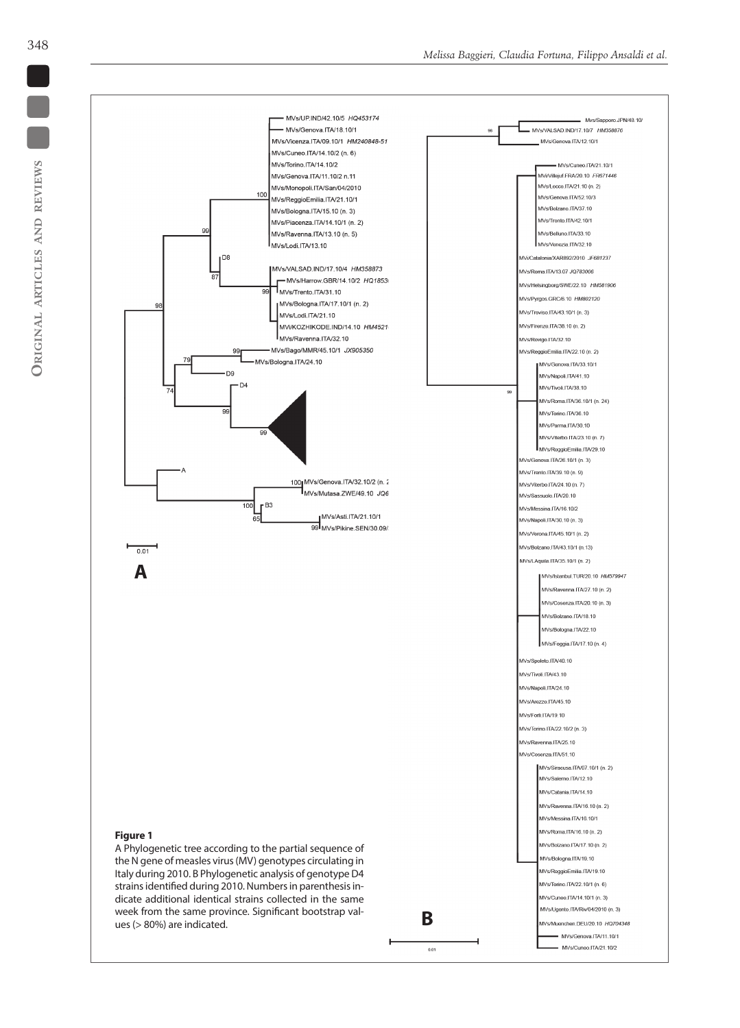**Original articles and reviews**

ORIGINAL ARTICLES AND REVIEWS

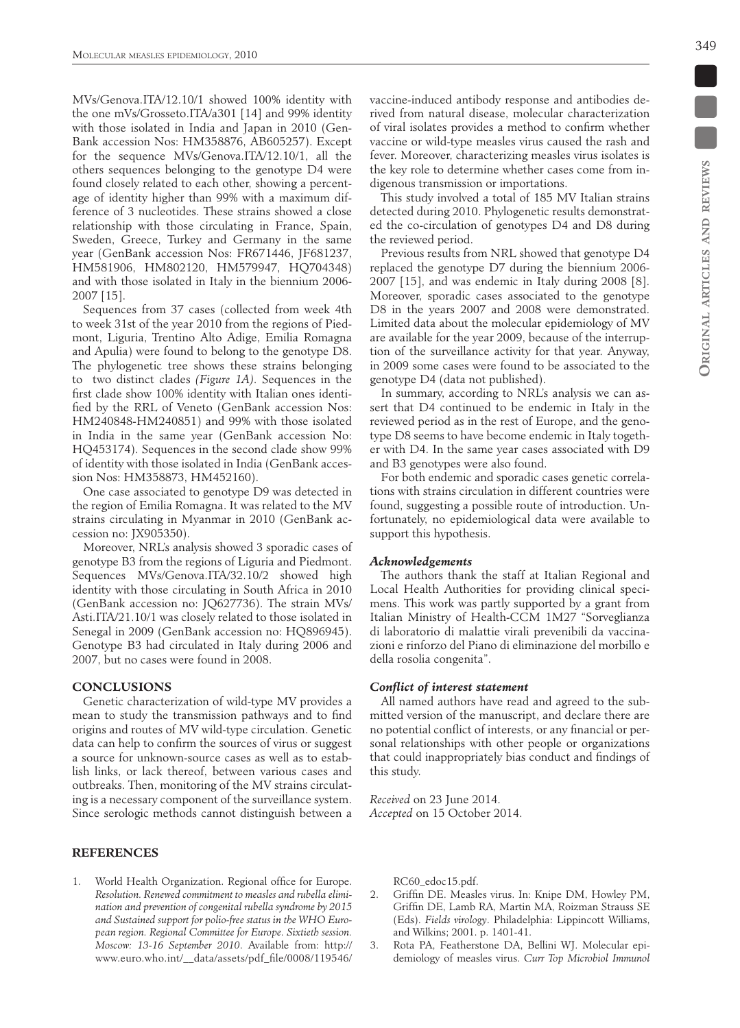MVs/Genova.ITA/12.10/1 showed 100% identity with the one mVs/Grosseto.ITA/a301 [14] and 99% identity with those isolated in India and Japan in 2010 (Gen-Bank accession Nos: HM358876, AB605257). Except for the sequence MVs/Genova.ITA/12.10/1, all the others sequences belonging to the genotype D4 were found closely related to each other, showing a percentage of identity higher than 99% with a maximum difference of 3 nucleotides. These strains showed a close relationship with those circulating in France, Spain, Sweden, Greece, Turkey and Germany in the same year (GenBank accession Nos: FR671446, JF681237, HM581906, HM802120, HM579947, HQ704348) and with those isolated in Italy in the biennium 2006- 2007 [15].

Sequences from 37 cases (collected from week 4th to week 31st of the year 2010 from the regions of Piedmont, Liguria, Trentino Alto Adige, Emilia Romagna and Apulia) were found to belong to the genotype D8. The phylogenetic tree shows these strains belonging to two distinct clades *(Figure 1A)*. Sequences in the first clade show 100% identity with Italian ones identified by the RRL of Veneto (GenBank accession Nos: HM240848-HM240851) and 99% with those isolated in India in the same year (GenBank accession No: HQ453174). Sequences in the second clade show 99% of identity with those isolated in India (GenBank accession Nos: HM358873, HM452160).

One case associated to genotype D9 was detected in the region of Emilia Romagna. It was related to the MV strains circulating in Myanmar in 2010 (GenBank accession no: JX905350).

Moreover, NRL's analysis showed 3 sporadic cases of genotype B3 from the regions of Liguria and Piedmont. Sequences MVs/Genova.ITA/32.10/2 showed high identity with those circulating in South Africa in 2010 (GenBank accession no: JQ627736). The strain MVs/ Asti.ITA/21.10/1 was closely related to those isolated in Senegal in 2009 (GenBank accession no: HQ896945). Genotype B3 had circulated in Italy during 2006 and 2007, but no cases were found in 2008.

# **CONCLUSIONS**

Genetic characterization of wild-type MV provides a mean to study the transmission pathways and to find origins and routes of MV wild-type circulation. Genetic data can help to confirm the sources of virus or suggest a source for unknown-source cases as well as to establish links, or lack thereof, between various cases and outbreaks. Then, monitoring of the MV strains circulating is a necessary component of the surveillance system. Since serologic methods cannot distinguish between a

## **References**

1. World Health Organization. Regional office for Europe. *Resolution. Renewed commitment to measles and rubella elimination and prevention of congenital rubella syndrome by 2015 and Sustained support for polio-free status in the WHO European region. Regional Committee for Europe. Sixtieth session. Moscow: 13-16 September 2010*. Available from: http:// www.euro.who.int/\_\_data/assets/pdf\_file/0008/119546/

vaccine-induced antibody response and antibodies derived from natural disease, molecular characterization of viral isolates provides a method to confirm whether vaccine or wild-type measles virus caused the rash and fever. Moreover, characterizing measles virus isolates is the key role to determine whether cases come from indigenous transmission or importations.

This study involved a total of 185 MV Italian strains detected during 2010. Phylogenetic results demonstrated the co-circulation of genotypes D4 and D8 during the reviewed period.

Previous results from NRL showed that genotype D4 replaced the genotype D7 during the biennium 2006- 2007 [15], and was endemic in Italy during 2008 [8]. Moreover, sporadic cases associated to the genotype D8 in the years 2007 and 2008 were demonstrated. Limited data about the molecular epidemiology of MV are available for the year 2009, because of the interruption of the surveillance activity for that year. Anyway, in 2009 some cases were found to be associated to the genotype D4 (data not published).

In summary, according to NRL's analysis we can assert that D4 continued to be endemic in Italy in the reviewed period as in the rest of Europe, and the genotype D8 seems to have become endemic in Italy together with D4. In the same year cases associated with D9 and B3 genotypes were also found.

For both endemic and sporadic cases genetic correlations with strains circulation in different countries were found, suggesting a possible route of introduction. Unfortunately, no epidemiological data were available to support this hypothesis.

# *Acknowledgements*

The authors thank the staff at Italian Regional and Local Health Authorities for providing clinical specimens. This work was partly supported by a grant from Italian Ministry of Health-CCM 1M27 "Sorveglianza di laboratorio di malattie virali prevenibili da vaccinazioni e rinforzo del Piano di eliminazione del morbillo e della rosolia congenita".

# *Conflict of interest statement*

All named authors have read and agreed to the submitted version of the manuscript, and declare there are no potential conflict of interests, or any financial or personal relationships with other people or organizations that could inappropriately bias conduct and findings of this study.

*Received* on 23 June 2014. *Accepted* on 15 October 2014.

RC60\_edoc15.pdf.

- 2. Griffin DE. Measles virus. In: Knipe DM, Howley PM, Griffin DE, Lamb RA, Martin MA, Roizman Strauss SE (Eds). *Fields virology*. Philadelphia: Lippincott Williams, and Wilkins; 2001. p. 1401-41.
- 3. Rota PA, Featherstone DA, Bellini WJ. Molecular epidemiology of measles virus. *Curr Top Microbiol Immunol*